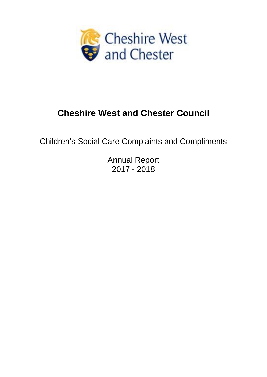

# **Cheshire West and Chester Council**

Children's Social Care Complaints and Compliments

Annual Report 2017 - 2018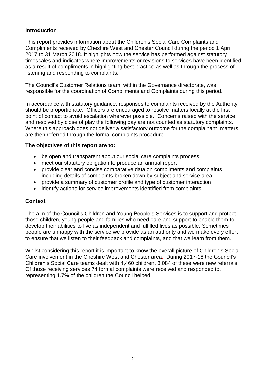## **Introduction**

This report provides information about the Children's Social Care Complaints and Compliments received by Cheshire West and Chester Council during the period 1 April 2017 to 31 March 2018. It highlights how the service has performed against statutory timescales and indicates where improvements or revisions to services have been identified as a result of compliments in highlighting best practice as well as through the process of listening and responding to complaints.

The Council's Customer Relations team, within the Governance directorate, was responsible for the coordination of Compliments and Complaints during this period.

In accordance with statutory guidance, responses to complaints received by the Authority should be proportionate. Officers are encouraged to resolve matters locally at the first point of contact to avoid escalation wherever possible. Concerns raised with the service and resolved by close of play the following day are not counted as statutory complaints. Where this approach does not deliver a satisfactory outcome for the complainant, matters are then referred through the formal complaints procedure.

#### **The objectives of this report are to:**

- be open and transparent about our social care complaints process
- meet our statutory obligation to produce an annual report
- provide clear and concise comparative data on compliments and complaints, including details of complaints broken down by subject and service area
- provide a summary of customer profile and type of customer interaction
- identify actions for service improvements identified from complaints

## **Context**

The aim of the Council's Children and Young People's Services is to support and protect those children, young people and families who need care and support to enable them to develop their abilities to live as independent and fulfilled lives as possible. Sometimes people are unhappy with the service we provide as an authority and we make every effort to ensure that we listen to their feedback and complaints, and that we learn from them.

Whilst considering this report it is important to know the overall picture of Children's Social Care involvement in the Cheshire West and Chester area. During 2017-18 the Council's Children's Social Care teams dealt with 4,460 children, 3,084 of these were new referrals. Of those receiving services 74 formal complaints were received and responded to, representing 1.7% of the children the Council helped.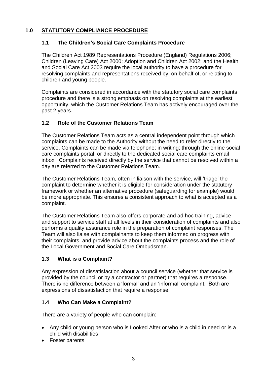# **1.0 STATUTORY COMPLIANCE PROCEDURE**

## **1.1 The Children's Social Care Complaints Procedure**

The Children Act 1989 Representations Procedure (England) Regulations 2006; Children (Leaving Care) Act 2000; Adoption and Children Act 2002; and the Health and Social Care Act 2003 require the local authority to have a procedure for resolving complaints and representations received by, on behalf of, or relating to children and young people.

Complaints are considered in accordance with the statutory social care complaints procedure and there is a strong emphasis on resolving complaints at the earliest opportunity, which the Customer Relations Team has actively encouraged over the past 2 years.

## **1.2 Role of the Customer Relations Team**

The Customer Relations Team acts as a central independent point through which complaints can be made to the Authority without the need to refer directly to the service. Complaints can be made via telephone; in writing; through the online social care complaints portal; or directly to the dedicated social care complaints email inbox. Complaints received directly by the service that cannot be resolved within a day are referred to the Customer Relations Team.

The Customer Relations Team, often in liaison with the service, will 'triage' the complaint to determine whether it is eligible for consideration under the statutory framework or whether an alternative procedure (safeguarding for example) would be more appropriate. This ensures a consistent approach to what is accepted as a complaint.

The Customer Relations Team also offers corporate and ad hoc training, advice and support to service staff at all levels in their consideration of complaints and also performs a quality assurance role in the preparation of complaint responses. The Team will also liaise with complainants to keep them informed on progress with their complaints, and provide advice about the complaints process and the role of the Local Government and Social Care Ombudsman.

## **1.3 What is a Complaint?**

Any expression of dissatisfaction about a council service (whether that service is provided by the council or by a contractor or partner) that requires a response. There is no difference between a 'formal' and an 'informal' complaint. Both are expressions of dissatisfaction that require a response.

## **1.4 Who Can Make a Complaint?**

There are a variety of people who can complain:

- Any child or young person who is Looked After or who is a child in need or is a child with disabilities
- Foster parents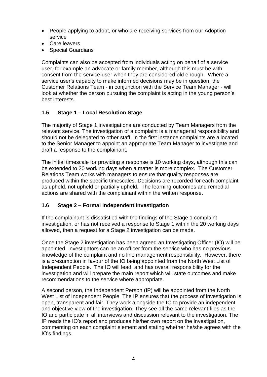- People applying to adopt, or who are receiving services from our Adoption service
- Care leavers
- Special Guardians

Complaints can also be accepted from individuals acting on behalf of a service user, for example an advocate or family member, although this must be with consent from the service user when they are considered old enough. Where a service user's capacity to make informed decisions may be in question, the Customer Relations Team - in conjunction with the Service Team Manager - will look at whether the person pursuing the complaint is acting in the young person's best interests.

# **1.5 Stage 1 – Local Resolution Stage**

The majority of Stage 1 investigations are conducted by Team Managers from the relevant service. The investigation of a complaint is a managerial responsibility and should not be delegated to other staff. In the first instance complaints are allocated to the Senior Manager to appoint an appropriate Team Manager to investigate and draft a response to the complainant.

The initial timescale for providing a response is 10 working days, although this can be extended to 20 working days when a matter is more complex. The Customer Relations Team works with managers to ensure that quality responses are produced within the specific timescales. Decisions are recorded for each complaint as upheld, not upheld or partially upheld. The learning outcomes and remedial actions are shared with the complainant within the written response.

## **1.6 Stage 2 – Formal Independent Investigation**

If the complainant is dissatisfied with the findings of the Stage 1 complaint investigation, or has not received a response to Stage 1 within the 20 working days allowed, then a request for a Stage 2 investigation can be made.

Once the Stage 2 investigation has been agreed an Investigating Officer (IO) will be appointed. Investigators can be an officer from the service who has no previous knowledge of the complaint and no line management responsibility. However, there is a presumption in favour of the IO being appointed from the North West List of Independent People. The IO will lead, and has overall responsibility for the investigation and will prepare the main report which will state outcomes and make recommendations to the service where appropriate.

A second person, the Independent Person (IP) will be appointed from the North West List of Independent People. The IP ensures that the process of investigation is open, transparent and fair. They work alongside the IO to provide an independent and objective view of the investigation. They see all the same relevant files as the IO and participate in all interviews and discussion relevant to the investigation. The IP reads the IO's report and produces his/her own report on the investigation, commenting on each complaint element and stating whether he/she agrees with the IO's findings.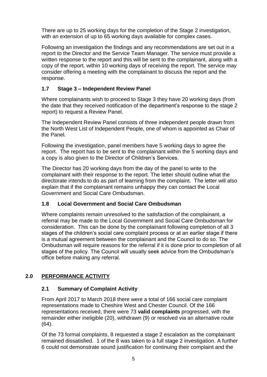There are up to 25 working days for the completion of the Stage 2 investigation, with an extension of up to 65 working days available for complex cases.

Following an investigation the findings and any recommendations are set out in a report to the Director and the Service Team Manager. The service must provide a written response to the report and this will be sent to the complainant, along with a copy of the report, within 10 working days of receiving the report. The service may consider offering a meeting with the complainant to discuss the report and the response.

# **1.7 Stage 3 – Independent Review Panel**

Where complainants wish to proceed to Stage 3 they have 20 working days (from the date that they received notification of the department's response to the stage 2 report) to request a Review Panel.

The Independent Review Panel consists of three independent people drawn from the North West List of Independent People, one of whom is appointed as Chair of the Panel.

Following the investigation, panel members have 5 working days to agree the report. The report has to be sent to the complainant within the 5 working days and a copy is also given to the Director of Children's Services.

The Director has 20 working days from the day of the panel to write to the complainant with their response to the report. The letter should outline what the directorate intends to do as part of learning from the complaint. The letter will also explain that if the complainant remains unhappy they can contact the Local Government and Social Care Ombudsman.

## **1.8 Local Government and Social Care Ombudsman**

Where complaints remain unresolved to the satisfaction of the complainant, a referral may be made to the Local Government and Social Care Ombudsman for consideration. This can be done by the complainant following completion of all 3 stages of the children's social care complaint process or at an earlier stage if there is a mutual agreement between the complainant and the Council to do so. The Ombudsman will require reasons for the referral if it is done prior to completion of all stages of the policy. The Council will usually seek advice from the Ombudsman's office before making any referral.

# **2.0 PERFORMANCE ACTIVITY**

## **2.1 Summary of Complaint Activity**

From April 2017 to March 2018 there were a total of 166 social care complaint representations made to Cheshire West and Chester Council. Of the 166 representations received, there were 73 **valid complaints** progressed, with the remainder either ineligible (20), withdrawn (9) or resolved via an alternative route (64).

Of the 73 formal complaints, 8 requested a stage 2 escalation as the complainant remained dissatisfied. 1 of the 8 was taken to a full stage 2 investigation. A further 6 could not demonstrate sound justification for continuing their complaint and the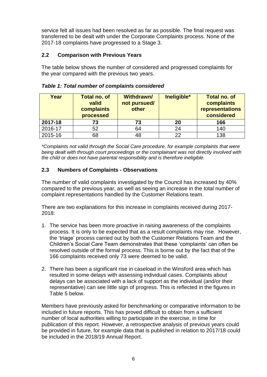service felt all issues had been resolved as far as possible. The final request was transferred to be dealt with under the Corporate Complaints process. None of the 2017-18 complaints have progressed to a Stage 3.

## **2.2 Comparison with Previous Years**

The table below shows the number of considered and progressed complaints for the year compared with the previous two years.

| Year    | <b>Total no. of</b><br>valid<br>complaints<br>processed | <b>Withdrawn/</b><br>not pursued/<br>other | Ineligible* | <b>Total no. of</b><br>complaints<br>representations<br>considered |
|---------|---------------------------------------------------------|--------------------------------------------|-------------|--------------------------------------------------------------------|
| 2017-18 | 73                                                      | 73                                         | 20          | 166                                                                |
| 2016-17 | 52                                                      | 64                                         | 24          | 140                                                                |
| 2015-16 | 68                                                      | 48                                         | 22          | 138                                                                |

*Table 1: Total number of complaints considered*

*\*Complaints not valid through the Social Care procedure, for example complaints that were being dealt with through court proceedings or the complainant was not directly involved with the child or does not have parental responsibility and is therefore ineligible.*

## **2.3 Numbers of Complaints - Observations**

The number of valid complaints investigated by the Council has increased by 40% compared to the previous year, as well as seeing an increase in the total number of complaint representations handled by the Customer Relations team.

There are two explanations for this increase in complaints received during 2017- 2018:

- 1. The service has been more proactive in raising awareness of the complaints process. It is only to be expected that as a result complaints may rise. However, the 'triage' process carried out by both the Customer Relations Team and the Children's Social Care Team demonstrates that these 'complaints' can often be resolved outside of the formal process. This is borne out by the fact that of the 166 complaints received only 73 were deemed to be valid.
- 2. There has been a significant rise in caseload in the Winsford area which has resulted in some delays with assessing individual cases. Complaints about delays can be associated with a lack of support as the individual (and/or their representative) can see little sign of progress. This is reflected in the figures in Table 5 below.

Members have previously asked for benchmarking or comparative information to be included in future reports. This has proved difficult to obtain from a sufficient number of local authorities willing to participate in the exercise, in time for publication of this report. However, a retrospective analysis of previous years could be provided in future, for example data that is published in relation to 2017/18 could be included in the 2018/19 Annual Report.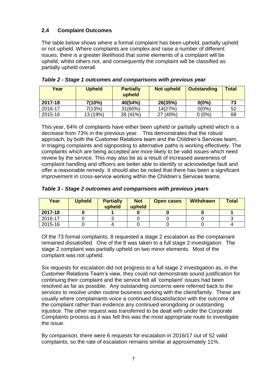## **2.4 Complaint Outcomes**

The table below shows where a formal complaint has been upheld, partially upheld or not upheld. Where complaints are complex and raise a number of different issues, there is a greater likelihood that some elements of a complaint will be upheld, whilst others not, and consequently the complaint will be classified as partially upheld overall.

| Year    | <b>Upheld</b> | <b>Partially</b><br>upheld | <b>Not upheld</b> | <b>Outstanding</b> | <b>Total</b> |
|---------|---------------|----------------------------|-------------------|--------------------|--------------|
| 2017-18 | 7(10%)        | 40(54%)                    | 26(35%)           | $0(0\%)$           | 73           |
| 2016-17 | 7(13%)        | 31(60%)                    | 14(27%)           | $0(0\%)$           | 52           |
| 2015-16 | 13 (19%)      | 28 (41%)                   | 27 (40%)          | $0(0\%)$           | 68           |

*Table 2 - Stage 1 outcomes and comparisons with previous year*

This year, 64% of complaints have either been upheld or partially upheld which is a decrease from 73% in the previous year. This demonstrates that the robust approach, by both the Customer Relations team and the Children's Services team, in triaging complaints and signposting to alternative paths is working effectively. The complaints which are being accepted are more likely to be valid issues which need review by the service. This may also be as a result of increased awareness of complaint handling and officers are better able to identify or acknowledge fault and offer a reasonable remedy. It should also be noted that there has been a significant improvement in cross-service working within the Children's Services teams.

| Table 3 - Stage 2 outcomes and comparisons with previous years |  |  |  |
|----------------------------------------------------------------|--|--|--|
|----------------------------------------------------------------|--|--|--|

| Year    | <b>Upheld</b> | <b>Partially</b><br>upheld | <b>Not</b><br>upheld | <b>Open cases</b> | <b>Withdrawn</b> | <b>Total</b> |
|---------|---------------|----------------------------|----------------------|-------------------|------------------|--------------|
| 2017-18 |               |                            |                      |                   |                  |              |
| 2016-17 |               |                            |                      |                   |                  |              |
| 2015-16 |               |                            |                      |                   |                  |              |

Of the 73 formal complaints, 8 requested a stage 2 escalation as the complainant remained dissatisfied. One of the 8 was taken to a full stage 2 investigation. The stage 2 complaint was partially upheld on two minor elements. Most of the complaint was not upheld.

Six requests for escalation did not progress to a full stage 2 investigation as, in the Customer Relations Team's view, they could not demonstrate sound justification for continuing their complaint and the service felt all 'complaint' issues had been resolved as far as possible. Any outstanding concerns were referred back to the services to resolve under routine business working with the client/family. These are usually where complainants voice a continued dissatisfaction with the outcome of the complaint rather than evidence any continued wrongdoing or outstanding injustice*.* The other request was transferred to be dealt with under the Corporate Complaints process as it was felt this was the most appropriate route to investigate the issue.

By comparison, there were 6 requests for escalation in 2016/17 out of 52 valid complaints, so the rate of escalation remains similar at approximately 11%.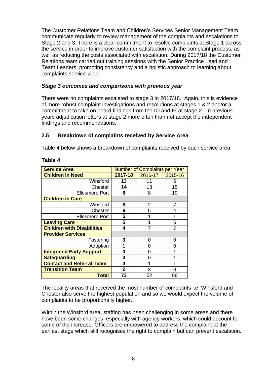The Customer Relations Team and Children's Services Senior Management Team communicate regularly to review management of the complaints and escalations to Stage 2 and 3. There is a clear commitment to resolve complaints at Stage 1 across the service in order to improve customer satisfaction with the complaint process, as well as reducing the costs associated with escalation. During 2017/18 the Customer Relations team carried out training sessions with the Senior Practice Lead and Team Leaders, promoting consistency and a holistic approach to learning about complaints service-wide.

#### *Stage 3 outcomes and comparisons with previous year*

There were no complaints escalated to stage 3 in 2017/18. Again, this is evidence of more robust complaint investigations and resolutions at stages 1 & 2 and/or a commitment to take on board findings from the IO and IP at stage 2. In previous years adjudication letters at stage 2 more often than not accept the independent findings and recommendations.

## **2.5 Breakdown of complaints received by Service Area**

Table 4 below shows a breakdown of complaints received by each service area.

| <b>Service Area</b>               | <b>Number of Complaints per Year</b> |         |         |
|-----------------------------------|--------------------------------------|---------|---------|
| <b>Children in Need</b>           | 2017-18                              | 2016-17 | 2015-16 |
| Winsford                          | 13                                   | 11      | 6       |
| Chester                           | 14                                   | 13      | 15      |
| <b>Ellesmere Port</b>             | 8                                    | 8       | 19      |
| <b>Children in Care</b>           |                                      |         |         |
| Winsford                          | 8                                    | 2       | 7       |
| Chester                           | 6                                    | 5       | 4       |
| <b>Ellesmere Port</b>             | 5                                    |         | 1       |
| <b>Leaving Care</b>               | 5                                    |         | 6       |
| <b>Children with Disabilities</b> | 4                                    |         |         |
| <b>Provider Services</b>          |                                      |         |         |
| Fostering                         | 3                                    | O       | 0       |
| Adoption                          |                                      | 0       | O       |
| <b>Integrated Early Support</b>   | 0                                    | 0       |         |
| <b>Safeguarding</b>               | 0                                    | Ⴖ       |         |
| <b>Contact and Referral Team</b>  | 4                                    |         |         |
| <b>Transition Team</b>            | 2                                    | 3       | O       |
| Total                             | 73                                   | 52      | 68      |

#### **Table 4**

The locality areas that received the most number of complaints i.e. Winsford and Chester also serve the highest population and so we would expect the volume of complaints to be proportionally higher.

Within the Winsford area, staffing has been challenging in some areas and there have been some changes, especially with agency workers, which could account for some of the increase. Officers are empowered to address the complaint at the earliest stage which still recognises the right to complain but can prevent escalation.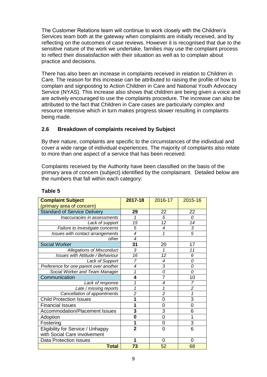The Customer Relations team will continue to work closely with the Children's Services team both at the gateway when complaints are initially received, and by reflecting on the outcomes of case reviews. However it is recognised that due to the sensitive nature of the work we undertake, families may use the complaint process to reflect their dissatisfaction with their situation as well as to complain about practice and decisions.

There has also been an increase in complaints received in relation to Children in Care. The reason for this increase can be attributed to raising the profile of how to complain and signposting to Action Children in Care and National Youth Advocacy Service (NYAS). This increase also shows that children are being given a voice and are actively encouraged to use the complaints procedure. The increase can also be attributed to the fact that Children in Care cases are particularly complex and resource intensive which in turn makes progress slower resulting in complaints being made.

## **2.6 Breakdown of complaints received by Subject**

By their nature, complaints are specific to the circumstances of the individual and cover a wide range of individual experiences. The majority of complaints also relate to more than one aspect of a service that has been received.

Complaints received by the Authority have been classified on the basis of the primary area of concern (subject) identified by the complainant. Detailed below are the numbers that fall within each category:

| <b>Complaint Subject</b>                | 2017-18                  | 2016-17         | 2015-16        |
|-----------------------------------------|--------------------------|-----------------|----------------|
| (primary area of concern)               |                          |                 |                |
| <b>Standard of Service Delivery</b>     | 29                       | 22              | 22             |
| Inaccuracies in assessments             | 1                        | 5               | 0              |
| Lack of support                         | 15                       | $\overline{12}$ | 14             |
| Failure to investigate concerns         | 5                        | 4               | 3              |
| Issues with contact arrangements        | $\overline{4}$           | 1               | $\overline{5}$ |
| other                                   | $\overline{\mathcal{A}}$ |                 |                |
| <b>Social Worker</b>                    | 31                       | 20              | 17             |
| <b>Allegations of Misconduct</b>        | 3                        | 1               | 11             |
| <b>Issues with Attitude / Behaviour</b> | $\overline{16}$          | 12              | 6              |
| Lack of Support                         | 7                        | 4               | 0              |
| Preference for one parent over another  | 4                        | $\overline{3}$  | $\overline{o}$ |
| Social Worker and Team Manager          | 1                        | 0               | 0              |
| Communication                           | 4                        | 7               | 10             |
| Lack of response                        | 1                        | 4               | 7              |
| Late / missing reports                  | 1                        | 1               | $\overline{2}$ |
| Cancellation of appointments            | $\overline{c}$           | $\overline{c}$  | 1              |
| <b>Child Protection Issues</b>          | 1                        | 0               | 3              |
| <b>Financial Issues</b>                 | 1                        | 0               | $\overline{0}$ |
| Accommodation/Placement Issues          | 3                        | 3               | 6              |
| Adoption                                | 0                        | 0               | 1              |
| Fostering                               | 1                        | 0               | 3              |
| Eligibility for Service / Unhappy       | $\overline{2}$           | 0               | 6              |
| with Social Care involvement            |                          |                 |                |
| <b>Data Protection Issues</b>           | 1                        | 0               | 0              |
| <b>Total</b>                            | 73                       | 52              | 68             |

## **Table 5**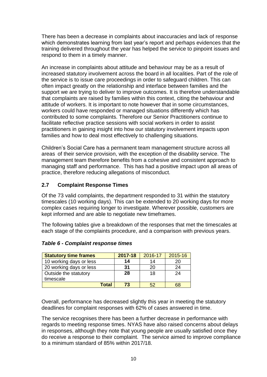There has been a decrease in complaints about inaccuracies and lack of response which demonstrates learning from last year's report and perhaps evidences that the training delivered throughout the year has helped the service to pinpoint issues and respond to them in a timely manner.

An increase in complaints about attitude and behaviour may be as a result of increased statutory involvement across the board in all localities. Part of the role of the service is to issue care proceedings in order to safeguard children. This can often impact greatly on the relationship and interface between families and the support we are trying to deliver to improve outcomes. It is therefore understandable that complaints are raised by families within this context, citing the behaviour and attitude of workers. It is important to note however that in some circumstances, workers could have responded or managed situations differently which has contributed to some complaints. Therefore our Senior Practitioners continue to facilitate reflective practice sessions with social workers in order to assist practitioners in gaining insight into how our statutory involvement impacts upon families and how to deal most effectively to challenging situations.

Children's Social Care has a permanent team management structure across all areas of their service provision, with the exception of the disability service. The management team therefore benefits from a cohesive and consistent approach to managing staff and performance. This has had a positive impact upon all areas of practice, therefore reducing allegations of misconduct.

## **2.7 Complaint Response Times**

Of the 73 valid complaints, the department responded to 31 within the statutory timescales (10 working days). This can be extended to 20 working days for more complex cases requiring longer to investigate. Wherever possible, customers are kept informed and are able to negotiate new timeframes.

The following tables give a breakdown of the responses that met the timescales at each stage of the complaints procedure, and a comparison with previous years.

| <b>Statutory time frames</b> | 2017-18 | 2016-17 | 2015-16 |
|------------------------------|---------|---------|---------|
| 10 working days or less      | 14      | 14      | 20      |
| 20 working days or less      | 31      | 20      | 24      |
| Outside the statutory        | 28      | 18      | 24      |
| timescale                    |         |         |         |
| Total                        | 73      |         | 68      |

#### *Table 6 - Complaint response times*

Overall, performance has decreased slightly this year in meeting the statutory deadlines for complaint responses with 62% of cases answered in time.

The service recognises there has been a further decrease in performance with regards to meeting response times. NYAS have also raised concerns about delays in responses, although they note that young people are usually satisfied once they do receive a response to their complaint. The service aimed to improve compliance to a minimum standard of 85% within 2017/18.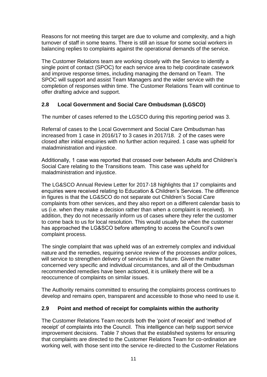Reasons for not meeting this target are due to volume and complexity, and a high turnover of staff in some teams. There is still an issue for some social workers in balancing replies to complaints against the operational demands of the service.

The Customer Relations team are working closely with the Service to identify a single point of contact (SPOC) for each service area to help coordinate casework and improve response times, including managing the demand on Team. The SPOC will support and assist Team Managers and the wider service with the completion of responses within time. The Customer Relations Team will continue to offer drafting advice and support.

## **2.8 Local Government and Social Care Ombudsman (LGSCO)**

The number of cases referred to the LGSCO during this reporting period was 3.

Referral of cases to the Local Government and Social Care Ombudsman has increased from 1 case in 2016/17 to 3 cases in 2017/18. 2 of the cases were closed after initial enquiries with no further action required. 1 case was upheld for maladministration and injustice.

Additionally, 1 case was reported that crossed over between Adults and Children's Social Care relating to the Transitions team. This case was upheld for maladministration and injustice.

The LG&SCO Annual Review Letter for 2017-18 highlights that 17 complaints and enquiries were received relating to Education & Children's Services. The difference in figures is that the LG&SCO do not separate out Children's Social Care complaints from other services, and they also report on a different calendar basis to us (i.e. when they make a decision rather than when a complaint is received). In addition, they do not necessarily inform us of cases where they refer the customer to come back to us for local resolution. This would usually be when the customer has approached the LG&SCO before attempting to access the Council's own complaint process.

The single complaint that was upheld was of an extremely complex and individual nature and the remedies, requiring service review of the processes and/or polices, will service to strengthen delivery of services in the future. Given the matter concerned very specific and individual circumstances, and all of the Ombudsman recommended remedies have been actioned, it is unlikely there will be a reoccurrence of complaints on similar issues.

The Authority remains committed to ensuring the complaints process continues to develop and remains open, transparent and accessible to those who need to use it.

## **2.9 Point and method of receipt for complaints within the authority**

The Customer Relations Team records both the 'point of receipt' and 'method of receipt' of complaints into the Council. This intelligence can help support service improvement decisions. Table 7 shows that the established systems for ensuring that complaints are directed to the Customer Relations Team for co-ordination are working well, with those sent into the service re-directed to the Customer Relations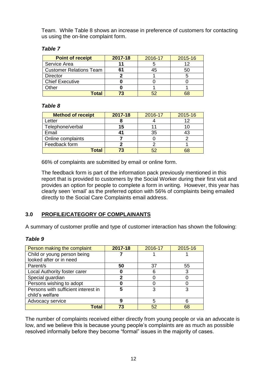Team. While Table 8 shows an increase in preference of customers for contacting us using the on-line complaint form.

## *Table 7*

| <b>Point of receipt</b>        | 2017-18 | 2016-17 | 2015-16 |
|--------------------------------|---------|---------|---------|
| Service Area                   | 11      |         |         |
| <b>Customer Relations Team</b> | 61      | 45      | 50      |
| <b>Director</b>                |         |         |         |
| <b>Chief Executive</b>         |         |         |         |
| Other                          |         |         |         |
| Total                          |         |         |         |

## *Table 8*

| <b>Method of receipt</b> | 2017-18 | 2016-17   | 2015-16 |
|--------------------------|---------|-----------|---------|
| ∟etter                   |         |           |         |
| Telephone/verbal         | 15      |           |         |
| Email                    | 41      | 35        |         |
| Online complaints        |         |           |         |
| Feedback form            |         |           |         |
| Total                    | 73      | <b>52</b> |         |

66% of complaints are submitted by email or online form.

The feedback form is part of the information pack previously mentioned in this report that is provided to customers by the Social Worker during their first visit and provides an option for people to complete a form in writing. However, this year has clearly seen 'email' as the preferred option with 56% of complaints being emailed directly to the Social Care Complaints email address.

# **3.0 PROFILE/CATEGORY OF COMPLAINANTS**

A summary of customer profile and type of customer interaction has shown the following:

#### *Table 9*

| Person making the complaint         | 2017-18 | 2016-17 | 2015-16 |
|-------------------------------------|---------|---------|---------|
| Child or young person being         |         |         |         |
| looked after or in need             |         |         |         |
| Parent/s                            | 50      | 37      | 55      |
| Local Authority foster carer        |         | 6       | 3       |
| Special guardian                    | 2       |         |         |
| Persons wishing to adopt            | O       |         |         |
| Persons with sufficient interest in | 5       | 3       | 3       |
| child's welfare                     |         |         |         |
| Advocacy service                    | g       | 5       | 6       |
| Total                               | 73      | 52      | 68      |

The number of complaints received either directly from young people or via an advocate is low, and we believe this is because young people's complaints are as much as possible resolved informally before they become "formal" issues in the majority of cases.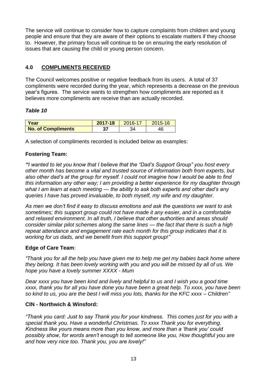The service will continue to consider how to capture complaints from children and young people and ensure that they are aware of their options to escalate matters if they choose to. However, the primary focus will continue to be on ensuring the early resolution of issues that are causing the child or young person concern.

# **4.0 COMPLIMENTS RECEIVED**

The Council welcomes positive or negative feedback from its users. A total of 37 compliments were recorded during the year, which represents a decrease on the previous year's figures. The service wants to strengthen how compliments are reported as it believes more compliments are receive than are actually recorded.

#### *Table 10*

| Year                      | 2017-18 | $2016 - 17$ | 2015-16 |
|---------------------------|---------|-------------|---------|
| <b>No. of Compliments</b> | 37      |             |         |

A selection of compliments recorded is included below as examples:

## **Fostering Team:**

*"I wanted to let you know that I believe that the "Dad's Support Group" you host every other month has become a vital and trusted source of information both from experts, but also other dad's at the group for myself. I could not imagine how I would be able to find this information any other way; I am providing a better experience for my daughter through what I am learn at each meeting — the ability to ask both experts and other dad's any queries I have has proved invaluable, to both myself, my wife and my daughter.*

*As men we don't find it easy to discuss emotions and ask the questions we want to ask sometimes; this support group could not have made it any easier, and in a comfortable and relaxed environment. In all truth, I believe that other authorities and areas should consider similar pilot schemes along the same lines — the fact that there is such a high repeat attendance and engagement rate each month for this group indicates that it is working for us dads, and we benefit from this support group!"*

## **Edge of Care Team**:

*"Thank you for all the help you have given me to help me get my babies back home where they belong. It has been lovely working with you and you will be missed by all of us. We hope you have a lovely summer XXXX - Mum* 

*Dear xxxx you have been kind and lively and helpful to us and I wish you a good time xxxx, thank you for all you have done you have been a great help. To xxxx, you have been so kind to us, you are the best I will miss you lots, thanks for the KFC xxxx – Children"*

#### **CIN - Northwich & Winsford:**

*"Thank you card: Just to say Thank you for your kindness. This comes just for you with a special thank you. Have a wonderful Christmas. To xxxx Thank you for everything. Kindness like yours means more than you know, and more than a 'thank you' could possibly show, for words aren't enough to tell someone like you, How thoughtful you are and how very nice too. Thank you, you are lovely!"*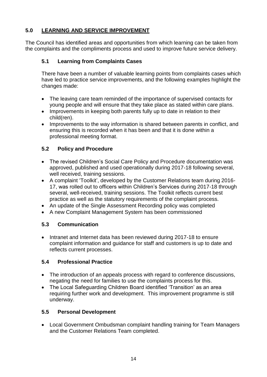# **5.0 LEARNING AND SERVICE IMPROVEMENT**

The Council has identified areas and opportunities from which learning can be taken from the complaints and the compliments process and used to improve future service delivery.

# **5.1 Learning from Complaints Cases**

There have been a number of valuable learning points from complaints cases which have led to practice service improvements, and the following examples highlight the changes made:

- The leaving care team reminded of the importance of supervised contacts for young people and will ensure that they take place as stated within care plans.
- Improvements in keeping both parents fully up to date in relation to their child(ren).
- Improvements to the way information is shared between parents in conflict, and ensuring this is recorded when it has been and that it is done within a professional meeting format.

# **5.2 Policy and Procedure**

- The revised Children's Social Care Policy and Procedure documentation was approved, published and used operationally during 2017-18 following several, well received, training sessions.
- A complaint 'Toolkit', developed by the Customer Relations team during 2016- 17, was rolled out to officers within Children's Services during 2017-18 through several, well-received, training sessions. The Toolkit reflects current best practice as well as the statutory requirements of the complaint process.
- An update of the Single Assessment Recording policy was completed
- A new Complaint Management System has been commissioned

# **5.3 Communication**

• Intranet and Internet data has been reviewed during 2017-18 to ensure complaint information and guidance for staff and customers is up to date and reflects current processes.

# **5.4 Professional Practice**

- The introduction of an appeals process with regard to conference discussions, negating the need for families to use the complaints process for this.
- The Local Safeguarding Children Board identified 'Transition' as an area requiring further work and development. This improvement programme is still underway.

# **5.5 Personal Development**

 Local Government Ombudsman complaint handling training for Team Managers and the Customer Relations Team completed.